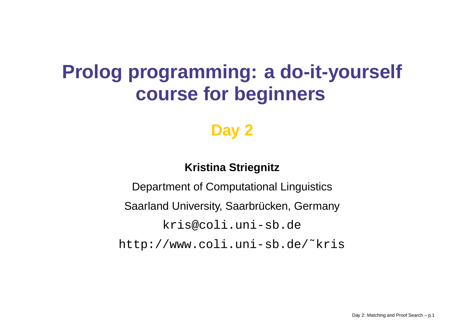# **Prolog programming: <sup>a</sup> do-it-yourself course for beginners**

#### **Day 2**

#### **Kristina Striegnitz**

Department of Computational Linguistics Saarland University, Saarbrücken, Germany <kris@coli.uni-sb.de> [http://www.coli.uni-sb.de/˜kris](http://www.coli.uni-sb.de/~kris)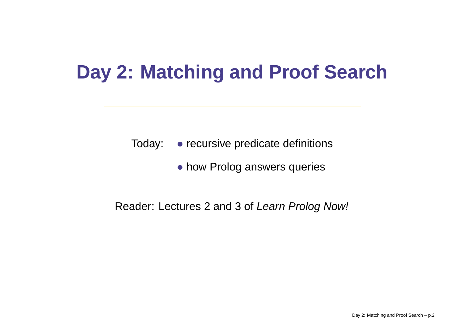## **Day 2: Matching and Proof Search**

Today: • recursive predicate definitions

• how Prolog answers queries

#### Reader: Lectures 2 and 3 of *Learn Prolog Now!*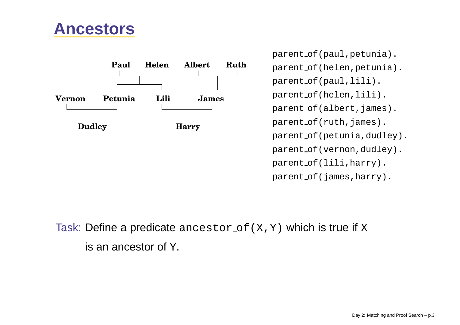#### **Ancestors**



parent of(paul,petunia). parent of(helen,petunia). parent of(paul,lili). parent of(helen,lili). parent\_of(albert,james). parent\_of(ruth,james). parent of(petunia,dudley). parent\_of(vernon,dudley). parent of(lili,harry). parent\_of(james,harry).

Task: Define a predicate  $\texttt{ancestor\_of}$  (  $\texttt{X}$  ,  $\texttt{Y}$  ) which is true if  $\texttt{X}$ is an ancestor of  $\bm{{\rm Y}}.$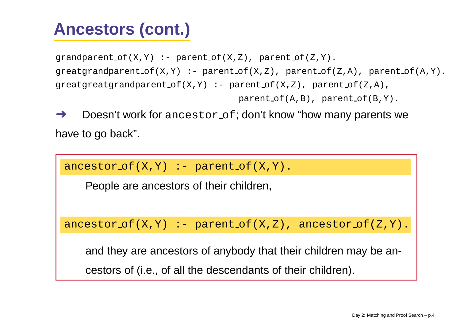## **Ancestors (cont.)**

```
graph(0, Y) :- parent of (X, Z), parent of (Z, Y).
greatgrandparent of(X,Y) :- parent of(X,Z), parent of(Z,A), parent of(A,Y).
qreatgreatgrandparent of(X,Y) :- parent of(X,Z), parent of(Z,A),
                                  parent_of(A,B), parent_of(B,Y).
```
➜Doesn't work for ancestor of; don't know "how many parents we have to go back".

```
\mathtt{ancestor\_of(X,Y)} \coloneq \mathtt{parent\_of(X,Y)}.
```
People are ancestors of their children,

ancestor of(X,Y) :- parent of(X,Z), ancestor of(Z,Y).

and they are ancestors of anybody that their children may be ancestors of (i.e., of all the descendants of their children).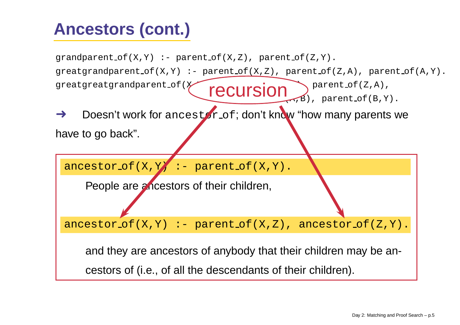## **Ancestors (cont.)**

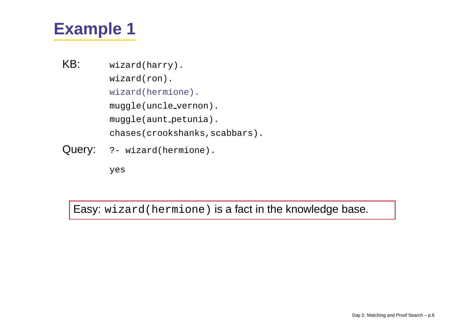- KB: wizard(harry). wizard(ron). wizard(hermione). muggle(uncle vernon). muggle(aunt petunia). chases(crookshanks, scabbars).
- Query:  $? \text{wizard(herminone)}$ .

yes

Easy: wizard(hermione) is <sup>a</sup> fact in the knowledge base.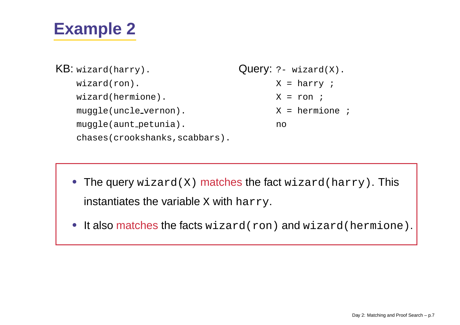| $KB:$ wizard(harry).           | Query: $?$ - wizard $(X)$ . |
|--------------------------------|-----------------------------|
| $wizard(ron)$ .                | $X = harrow$ ;              |
| wizard(hermione).              | $X = r$ on ;                |
| muggle(uncle_vernon).          | $X = hermin$                |
| muggle(aunt_petunia).          | no                          |
| chases(crookshanks, scabbars). |                             |

• The query wizard(X) matches the fact wizard(harry). This instantiates the variable  ${\rm x}$  with  ${\rm harry.}$ 

• It also matches the facts wizard(ron) and wizard(hermione).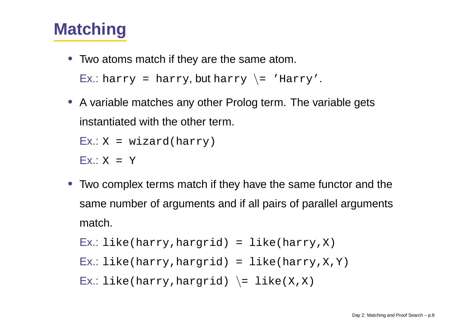#### **Matching**

- Two atoms match if they are the same atom.  $\mathsf{Ex}.$ : harry = harry,  $\mathsf{but}~\text{harry}~\setminus$ = 'Harry'.
- A variable matches any other Prolog term. The variable gets instantiated with the other term.

```
Ex.: X = wizard(harry)
```

```
Ex.: X = Y
```
• Two complex terms match if they have the same functor and the same number of arguments and if all pairs of parallel arguments match.

```
Ex.: like(harry,hargrid) = like(harry,X)
```
Ex.: like(harry,hargrid) <sup>=</sup> like(harry,X,Y)

 $\mathsf{Ex.:}\ \mathtt{like}(\mathtt{harry},\mathtt{hargrid})\ \ \backslash\,=\ \mathtt{like}\,(\mathtt{X}\,,\mathtt{X})$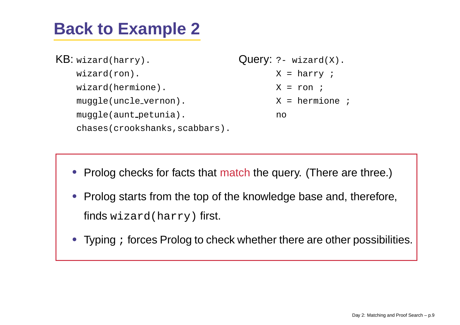#### **Back to Example 2**

 $\sf KB:$  wizard(harry). wizard(ron). wizard(hermione). muggle(uncle vernon). muggle(aunt petunia). chases(crookshanks,scabbars). Query:  $?$ - wizard $(X)$ . X <sup>=</sup> harry ; X <sup>=</sup> ron ; X <sup>=</sup> hermione ; no

- Prolog checks for facts that match the query. (There are three.)
- Prolog starts from the top of the knowledge base and, therefore, finds wizard(harry) first.
- Typing ; forces Prolog to check whether there are other possibilities.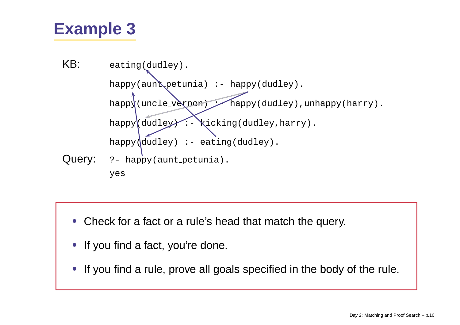

- •Check for a fact or <sup>a</sup> rule's head that match the query.
- If you find <sup>a</sup> fact, you're done.
- •• If you find a rule, prove all goals specified in the body of the rule.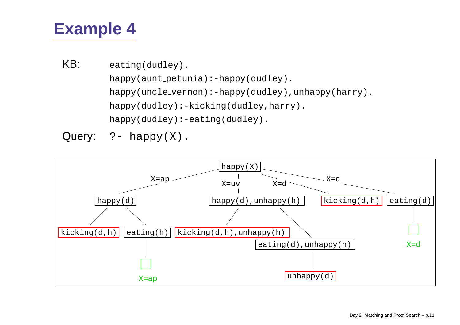KB: eating(dudley). happy(aunt\_petunia):-happy(dudley). happy(uncle vernon):-happy(dudley),unhappy(harry). happy(dudley):-kicking(dudley,harry). happy(dudley):-eating(dudley).

Query:  $?$ - happy $(X)$ .

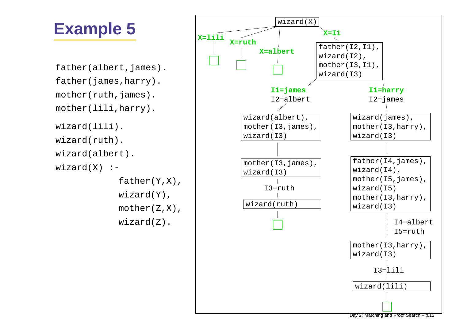father(albert,james). father(james,harry). mother(ruth,james). mother(lili,harry). wizard(lili). wizard(ruth). wizard(albert).  $wizard(X)$  :father(Y,X),

wizard(Y), mother(Z,X), wizard(Z).

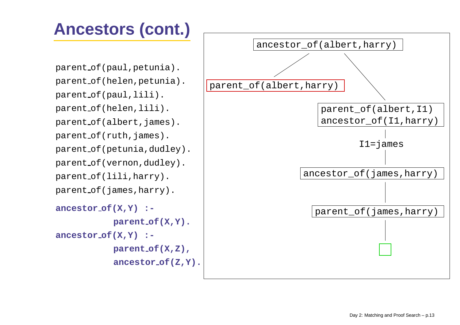## **Ancestors (cont.)**

parent of(paul,petunia). parent of(helen,petunia). parent of(paul,lili). parent of(helen,lili). parent\_of(albert,james). parent\_of(ruth,james). parent\_of(petunia,dudley). parent of(vernon,dudley). parent of(lili,harry). parent of(james,harry). **ancestor of(X,Y) : parent of(X,Y). ancestor of(X,Y) :-**

**parent of(X,Z),**

**ancestor of(Z,Y).**